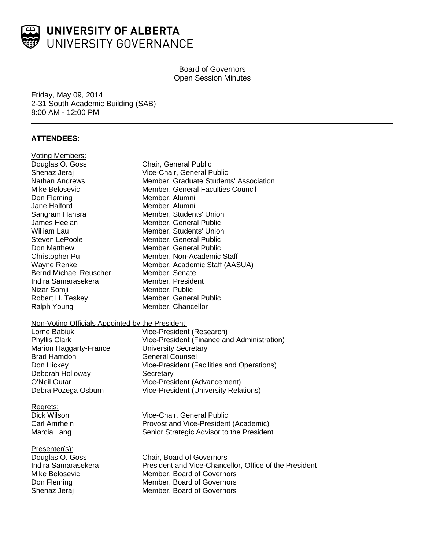

## Board of Governors Open Session Minutes

Friday, May 09, 2014 2-31 South Academic Building (SAB) 8:00 AM - 12:00 PM

# **ATTENDEES:**

| Voting Members:                                  |                                                        |
|--------------------------------------------------|--------------------------------------------------------|
| Douglas O. Goss                                  | Chair, General Public                                  |
| Shenaz Jeraj                                     | Vice-Chair, General Public                             |
| <b>Nathan Andrews</b>                            | Member, Graduate Students' Association                 |
| Mike Belosevic                                   | Member, General Faculties Council                      |
| Don Fleming                                      | Member, Alumni                                         |
| Jane Halford                                     | Member, Alumni                                         |
| Sangram Hansra                                   | Member, Students' Union                                |
| James Heelan                                     | Member, General Public                                 |
| William Lau                                      | Member, Students' Union                                |
| Steven LePoole                                   | Member, General Public                                 |
| Don Matthew                                      | Member, General Public                                 |
| Christopher Pu                                   | Member, Non-Academic Staff                             |
| Wayne Renke                                      | Member, Academic Staff (AASUA)                         |
| <b>Bernd Michael Reuscher</b>                    | Member, Senate                                         |
| Indira Samarasekera                              | Member, President                                      |
| Nizar Somji                                      | Member, Public                                         |
| Robert H. Teskey                                 | Member, General Public                                 |
| Ralph Young                                      | Member, Chancellor                                     |
| Non-Voting Officials Appointed by the President: |                                                        |
| Lorne Babiuk                                     | Vice-President (Research)                              |
| <b>Phyllis Clark</b>                             | Vice-President (Finance and Administration)            |
| <b>Marion Haggarty-France</b>                    | <b>University Secretary</b>                            |
| <b>Brad Hamdon</b>                               | <b>General Counsel</b>                                 |
| Don Hickey                                       | Vice-President (Facilities and Operations)             |
| Deborah Holloway                                 | Secretary                                              |
| O'Neil Outar                                     | Vice-President (Advancement)                           |
| Debra Pozega Osburn                              | <b>Vice-President (University Relations)</b>           |
| Regrets:                                         |                                                        |
| Dick Wilson                                      | Vice-Chair, General Public                             |
| Carl Amrhein                                     | Provost and Vice-President (Academic)                  |
| Marcia Lang                                      | Senior Strategic Advisor to the President              |
| <u> Presenter(s):</u>                            |                                                        |
| Douglas O. Goss                                  | Chair, Board of Governors                              |
| Indira Samarasekera                              | President and Vice-Chancellor, Office of the President |
| Mike Belosevic                                   | Member, Board of Governors                             |
| Don Fleming                                      | Member, Board of Governors                             |
| Shenaz Jeraj                                     | Member, Board of Governors                             |
|                                                  |                                                        |
|                                                  |                                                        |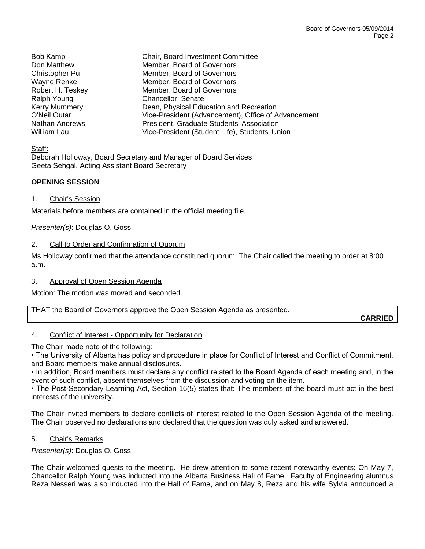**CARRIED**

Bob Kamp Chair, Board Investment Committee

Don Matthew Member, Board of Governors Christopher Pu Member, Board of Governors Wayne Renke Member, Board of Governors Robert H. Teskey Member, Board of Governors Ralph Young **Chancellor**, Senate Kerry Mummery Dean, Physical Education and Recreation O'Neil Outar Vice-President (Advancement), Office of Advancement Nathan Andrews President, Graduate Students' Association William Lau Vice-President (Student Life), Students' Union

Staff:

Deborah Holloway, Board Secretary and Manager of Board Services Geeta Sehgal, Acting Assistant Board Secretary

### **OPENING SESSION**

### 1. Chair's Session

Materials before members are contained in the official meeting file.

*Presenter(s)*: Douglas O. Goss

### 2. Call to Order and Confirmation of Quorum

Ms Holloway confirmed that the attendance constituted quorum. The Chair called the meeting to order at 8:00 a.m.

3. Approval of Open Session Agenda

Motion: The motion was moved and seconded.

|  | THAT the Board of Governors approve the Open Session Agenda as presented. |  |
|--|---------------------------------------------------------------------------|--|
|--|---------------------------------------------------------------------------|--|

4. Conflict of Interest - Opportunity for Declaration

The Chair made note of the following:

• The University of Alberta has policy and procedure in place for Conflict of Interest and Conflict of Commitment, and Board members make annual disclosures.

• In addition, Board members must declare any conflict related to the Board Agenda of each meeting and, in the event of such conflict, absent themselves from the discussion and voting on the item.

• The Post-Secondary Learning Act, Section 16(5) states that: The members of the board must act in the best interests of the university.

The Chair invited members to declare conflicts of interest related to the Open Session Agenda of the meeting. The Chair observed no declarations and declared that the question was duly asked and answered.

### 5. Chair's Remarks

*Presenter(s)*: Douglas O. Goss

The Chair welcomed guests to the meeting. He drew attention to some recent noteworthy events: On May 7, Chancellor Ralph Young was inducted into the Alberta Business Hall of Fame. Faculty of Engineering alumnus Reza Nesseri was also inducted into the Hall of Fame, and on May 8, Reza and his wife Sylvia announced a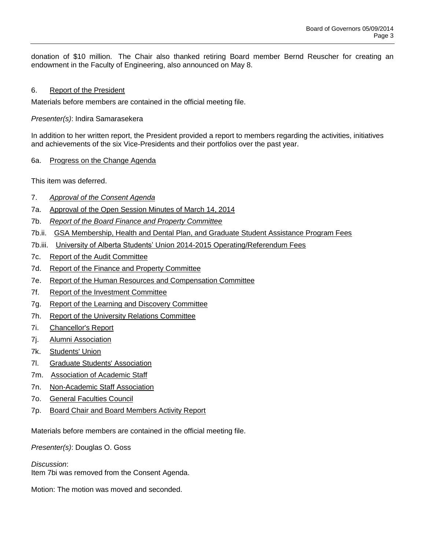donation of \$10 million. The Chair also thanked retiring Board member Bernd Reuscher for creating an endowment in the Faculty of Engineering, also announced on May 8.

### 6. Report of the President

Materials before members are contained in the official meeting file.

*Presenter(s)*: Indira Samarasekera

In addition to her written report, the President provided a report to members regarding the activities, initiatives and achievements of the six Vice-Presidents and their portfolios over the past year.

#### 6a. Progress on the Change Agenda

This item was deferred.

- 7. *Approval of the Consent Agenda*
- 7a. Approval of the Open Session Minutes of March 14, 2014
- 7b. *Report of the Board Finance and Property Committee*
- 7b.ii. GSA Membership, Health and Dental Plan, and Graduate Student Assistance Program Fees
- 7b.iii. University of Alberta Students' Union 2014-2015 Operating/Referendum Fees
- 7c. Report of the Audit Committee
- 7d. Report of the Finance and Property Committee
- 7e. Report of the Human Resources and Compensation Committee
- 7f. Report of the Investment Committee
- 7g. Report of the Learning and Discovery Committee
- 7h. Report of the University Relations Committee
- 7i. Chancellor's Report
- 7j. Alumni Association
- 7k. Students' Union
- 7l. Graduate Students' Association
- 7m. Association of Academic Staff
- 7n. Non-Academic Staff Association
- 7o. General Faculties Council
- 7p. Board Chair and Board Members Activity Report

Materials before members are contained in the official meeting file.

*Presenter(s)*: Douglas O. Goss

*Discussion*:

Item 7bi was removed from the Consent Agenda.

Motion: The motion was moved and seconded.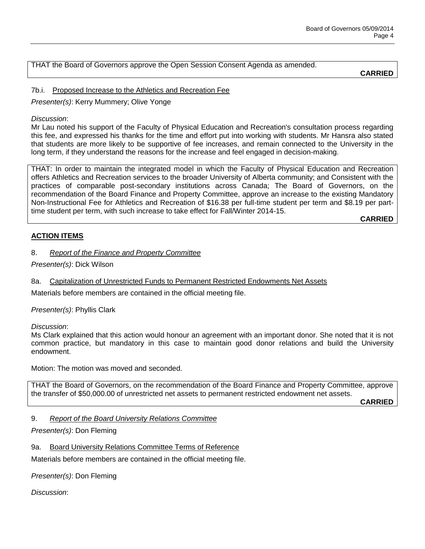THAT the Board of Governors approve the Open Session Consent Agenda as amended.

**CARRIED**

### 7b.i. Proposed Increase to the Athletics and Recreation Fee

*Presenter(s)*: Kerry Mummery; Olive Yonge

### *Discussion*:

Mr Lau noted his support of the Faculty of Physical Education and Recreation's consultation process regarding this fee, and expressed his thanks for the time and effort put into working with students. Mr Hansra also stated that students are more likely to be supportive of fee increases, and remain connected to the University in the long term, if they understand the reasons for the increase and feel engaged in decision-making.

THAT: In order to maintain the integrated model in which the Faculty of Physical Education and Recreation offers Athletics and Recreation services to the broader University of Alberta community; and Consistent with the practices of comparable post-secondary institutions across Canada; The Board of Governors, on the recommendation of the Board Finance and Property Committee, approve an increase to the existing Mandatory Non-Instructional Fee for Athletics and Recreation of \$16.38 per full-time student per term and \$8.19 per parttime student per term, with such increase to take effect for Fall/Winter 2014-15.

**CARRIED**

### **ACTION ITEMS**

### 8. *Report of the Finance and Property Committee*

*Presenter(s)*: Dick Wilson

8a. Capitalization of Unrestricted Funds to Permanent Restricted Endowments Net Assets

Materials before members are contained in the official meeting file.

*Presenter(s)*: Phyllis Clark

*Discussion*:

Ms Clark explained that this action would honour an agreement with an important donor. She noted that it is not common practice, but mandatory in this case to maintain good donor relations and build the University endowment.

Motion: The motion was moved and seconded.

THAT the Board of Governors, on the recommendation of the Board Finance and Property Committee, approve the transfer of \$50,000.00 of unrestricted net assets to permanent restricted endowment net assets.

**CARRIED**

### 9. *Report of the Board University Relations Committee*

*Presenter(s)*: Don Fleming

9a. Board University Relations Committee Terms of Reference

Materials before members are contained in the official meeting file.

*Presenter(s)*: Don Fleming

*Discussion*: